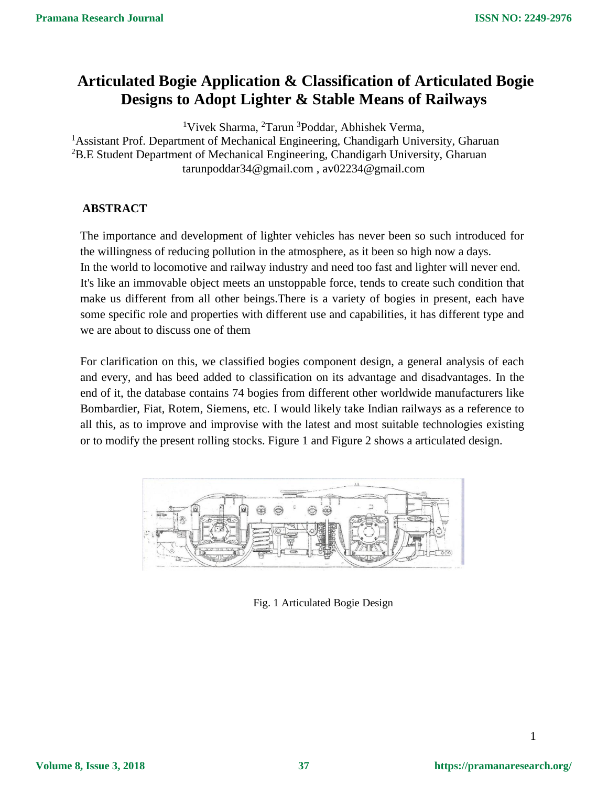# **Articulated Bogie Application & Classification of Articulated Bogie Designs to Adopt Lighter & Stable Means of Railways**

<sup>1</sup>Vivek Sharma, <sup>2</sup>Tarun <sup>3</sup>Poddar, Abhishek Verma, <sup>1</sup> Assistant Prof. Department of Mechanical Engineering, Chandigarh University, Gharuan <sup>2</sup>B.E Student Department of Mechanical Engineering, Chandigarh University, Gharuan [tarunpoddar34@gmail.com](mailto:tarunpoddar34@gmail.com) , av02234@gmail.com

# **ABSTRACT**

The importance and development of lighter vehicles has never been so such introduced for the willingness of reducing pollution in the atmosphere, as it been so high now a days. In the world to locomotive and railway industry and need too fast and lighter will never end. It's like an immovable object meets an unstoppable force, tends to create such condition that make us different from all other beings.There is a variety of bogies in present, each have some specific role and properties with different use and capabilities, it has different type and we are about to discuss one of them

For clarification on this, we classified bogies component design, a general analysis of each and every, and has beed added to classification on its advantage and disadvantages. In the end of it, the database contains 74 bogies from different other worldwide manufacturers like Bombardier, Fiat, Rotem, Siemens, etc. I would likely take Indian railways as a reference to all this, as to improve and improvise with the latest and most suitable technologies existing or to modify the present rolling stocks. Figure 1 and Figure 2 shows a articulated design.



Fig. 1 Articulated Bogie Design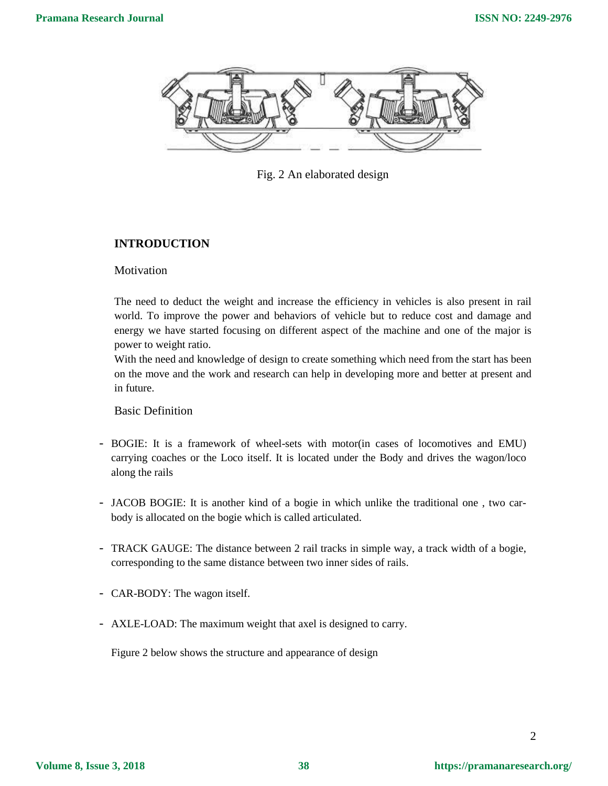

Fig. 2 An elaborated design

# **INTRODUCTION**

**Motivation** 

The need to deduct the weight and increase the efficiency in vehicles is also present in rail world. To improve the power and behaviors of vehicle but to reduce cost and damage and energy we have started focusing on different aspect of the machine and one of the major is power to weight ratio.

With the need and knowledge of design to create something which need from the start has been on the move and the work and research can help in developing more and better at present and in future.

Basic Definition

- BOGIE: It is a framework of wheel-sets with motor(in cases of locomotives and EMU) carrying coaches or the Loco itself. It is located under the Body and drives the wagon/loco along the rails
- JACOB BOGIE: It is another kind of a bogie in which unlike the traditional one , two carbody is allocated on the bogie which is called articulated.
- TRACK GAUGE: The distance between 2 rail tracks in simple way, a track width of a bogie, corresponding to the same distance between two inner sides of rails.
- CAR-BODY: The wagon itself.
- AXLE-LOAD: The maximum weight that axel is designed to carry.

Figure 2 below shows the structure and appearance of design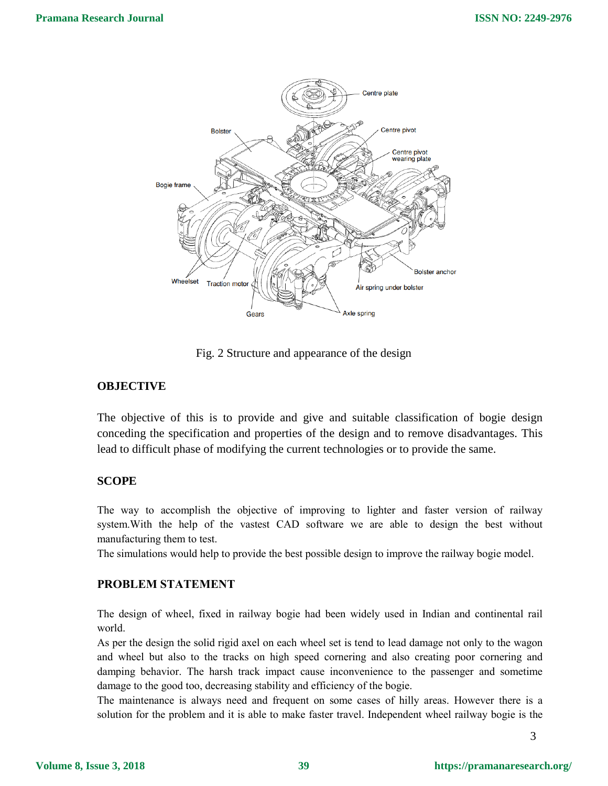

Fig. 2 Structure and appearance of the design

### **OBJECTIVE**

The objective of this is to provide and give and suitable classification of bogie design conceding the specification and properties of the design and to remove disadvantages. This lead to difficult phase of modifying the current technologies or to provide the same.

### **SCOPE**

The way to accomplish the objective of improving to lighter and faster version of railway system.With the help of the vastest CAD software we are able to design the best without manufacturing them to test.

The simulations would help to provide the best possible design to improve the railway bogie model.

# **PROBLEM STATEMENT**

The design of wheel, fixed in railway bogie had been widely used in Indian and continental rail world.

As per the design the solid rigid axel on each wheel set is tend to lead damage not only to the wagon and wheel but also to the tracks on high speed cornering and also creating poor cornering and damping behavior. The harsh track impact cause inconvenience to the passenger and sometime damage to the good too, decreasing stability and efficiency of the bogie.

The maintenance is always need and frequent on some cases of hilly areas. However there is a solution for the problem and it is able to make faster travel. Independent wheel railway bogie is the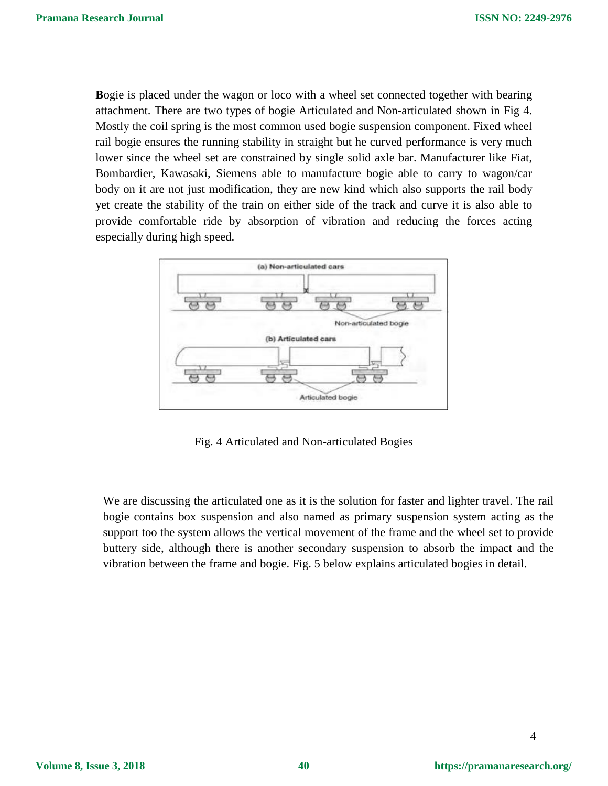**B**ogie is placed under the wagon or loco with a wheel set connected together with bearing attachment. There are two types of bogie Articulated and Non-articulated shown in Fig 4. Mostly the coil spring is the most common used bogie suspension component. Fixed wheel rail bogie ensures the running stability in straight but he curved performance is very much lower since the wheel set are constrained by single solid axle bar. Manufacturer like Fiat, Bombardier, Kawasaki, Siemens able to manufacture bogie able to carry to wagon/car body on it are not just modification, they are new kind which also supports the rail body yet create the stability of the train on either side of the track and curve it is also able to provide comfortable ride by absorption of vibration and reducing the forces acting especially during high speed.



Fig. 4 Articulated and Non-articulated Bogies

We are discussing the articulated one as it is the solution for faster and lighter travel. The rail bogie contains box suspension and also named as primary suspension system acting as the support too the system allows the vertical movement of the frame and the wheel set to provide buttery side, although there is another secondary suspension to absorb the impact and the vibration between the frame and bogie. Fig. 5 below explains articulated bogies in detail.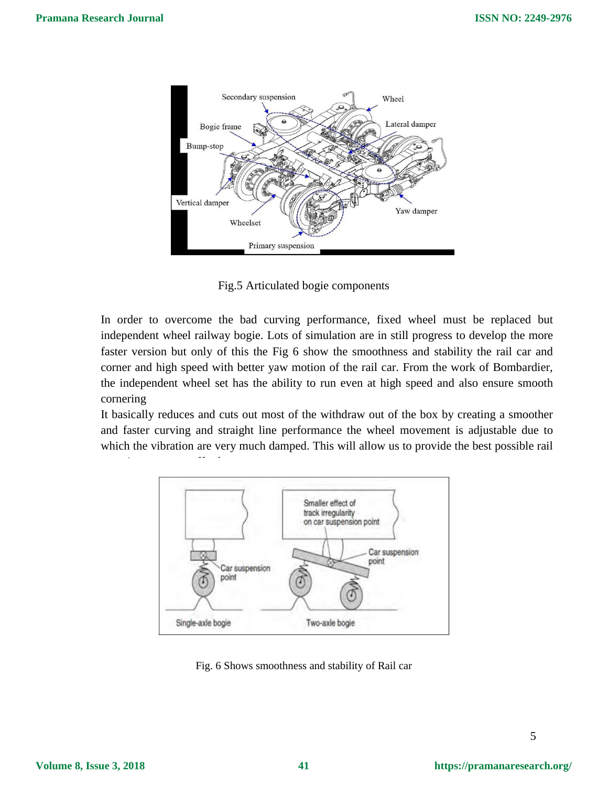

Fig.5 Articulated bogie components

In order to overcome the bad curving performance, fixed wheel must be replaced but independent wheel railway bogie. Lots of simulation are in still progress to develop the more faster version but only of this the Fig 6 show the smoothness and stability the rail car and corner and high speed with better yaw motion of the rail car. From the work of Bombardier, the independent wheel set has the ability to run even at high speed and also ensure smooth cornering

It basically reduces and cuts out most of the withdraw out of the box by creating a smoother and faster curving and straight line performance the wheel movement is adjustable due to which the vibration are very much damped. This will allow us to provide the best possible rail



experience we can affect the create we can affect the create of the create.<br>The create we can affect the create we can affect the create we can affect the create we can affect the create

Fig. 6 Shows smoothness and stability of Rail car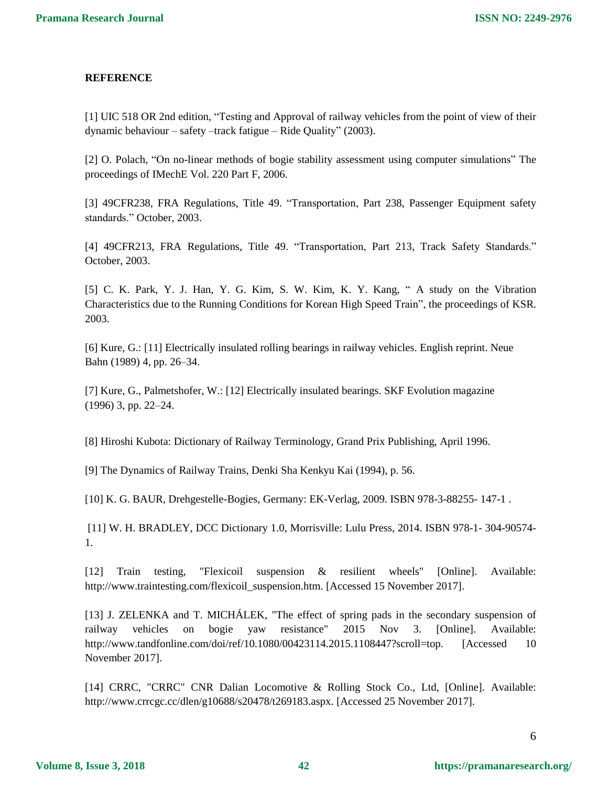#### **REFERENCE**

[1] UIC 518 OR 2nd edition, "Testing and Approval of railway vehicles from the point of view of their dynamic behaviour – safety –track fatigue – Ride Quality" (2003).

[2] O. Polach, "On no-linear methods of bogie stability assessment using computer simulations" The proceedings of IMechE Vol. 220 Part F, 2006.

[3] 49CFR238, FRA Regulations, Title 49. "Transportation, Part 238, Passenger Equipment safety standards." October, 2003.

[4] 49CFR213, FRA Regulations, Title 49. "Transportation, Part 213, Track Safety Standards." October, 2003.

[5] C. K. Park, Y. J. Han, Y. G. Kim, S. W. Kim, K. Y. Kang, " A study on the Vibration Characteristics due to the Running Conditions for Korean High Speed Train", the proceedings of KSR. 2003.

[6] Kure, G.: [11] Electrically insulated rolling bearings in railway vehicles. English reprint. Neue Bahn (1989) 4, pp. 26–34.

[7] Kure, G., Palmetshofer, W.: [12] Electrically insulated bearings. SKF Evolution magazine (1996) 3, pp. 22–24.

[8] Hiroshi Kubota: Dictionary of Railway Terminology, Grand Prix Publishing, April 1996.

[9] The Dynamics of Railway Trains, Denki Sha Kenkyu Kai (1994), p. 56.

[10] K. G. BAUR, Drehgestelle-Bogies, Germany: EK-Verlag, 2009. ISBN 978-3-88255- 147-1 .

[11] W. H. BRADLEY, DCC Dictionary 1.0, Morrisville: Lulu Press, 2014. ISBN 978-1- 304-90574- 1.

[12] Train testing, "Flexicoil suspension & resilient wheels" [Online]. Available: http://www.traintesting.com/flexicoil\_suspension.htm. [Accessed 15 November 2017].

[13] J. ZELENKA and T. MICHÁLEK, "The effect of spring pads in the secondary suspension of railway vehicles on bogie yaw resistance" 2015 Nov 3. [Online]. Available: http://www.tandfonline.com/doi/ref/10.1080/00423114.2015.1108447?scroll=top. [Accessed 10 November 2017].

[14] CRRC, "CRRC" CNR Dalian Locomotive & Rolling Stock Co., Ltd, [Online]. Available: http://www.crrcgc.cc/dlen/g10688/s20478/t269183.aspx. [Accessed 25 November 2017].